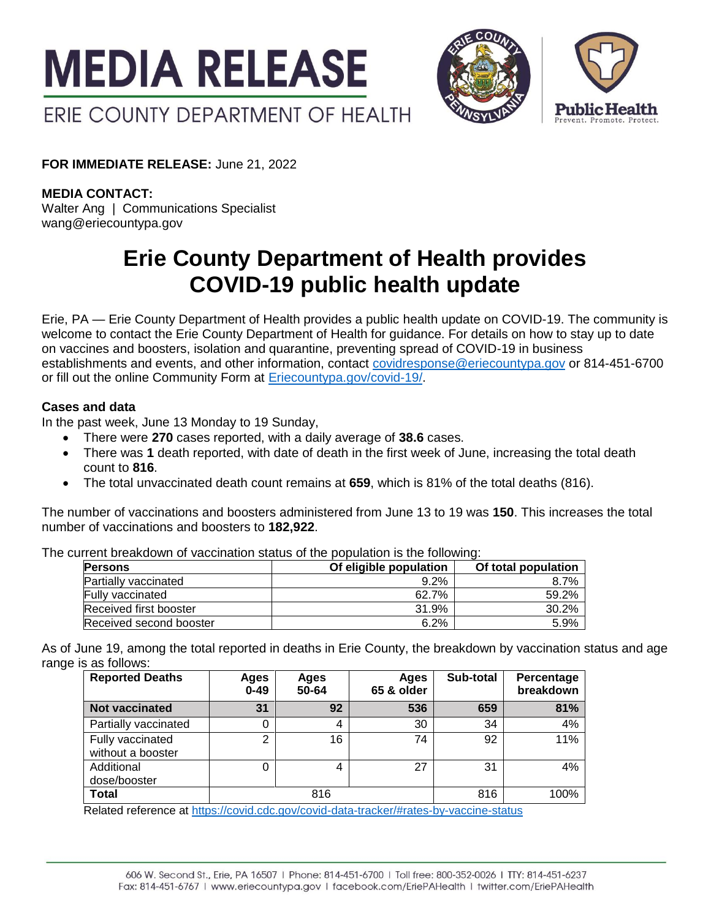



**FOR IMMEDIATE RELEASE:** June 21, 2022

**MEDIA CONTACT:**

Walter Ang | Communications Specialist wang@eriecountypa.gov

# **Erie County Department of Health provides COVID-19 public health update**

Erie, PA — Erie County Department of Health provides a public health update on COVID-19. The community is welcome to contact the Erie County Department of Health for guidance. For details on how to stay up to date on vaccines and boosters, isolation and quarantine, preventing spread of COVID-19 in business establishments and events, and other information, contact [covidresponse@eriecountypa.gov](mailto:covidresponse@eriecountypa.gov) or 814-451-6700 or fill out the online Community Form at [Eriecountypa.gov/covid-19/.](https://eriecountypa.gov/covid-19/)

## **Cases and data**

In the past week, June 13 Monday to 19 Sunday,

- There were **270** cases reported, with a daily average of **38.6** cases.
- There was **1** death reported, with date of death in the first week of June, increasing the total death count to **816**.
- The total unvaccinated death count remains at **659**, which is 81% of the total deaths (816).

The number of vaccinations and boosters administered from June 13 to 19 was **150**. This increases the total number of vaccinations and boosters to **182,922**.

The current breakdown of vaccination status of the population is the following:

| <b>Persons</b>          | Of eligible population | Of total population |  |
|-------------------------|------------------------|---------------------|--|
| Partially vaccinated    | 9.2%                   | 8.7%                |  |
| <b>Fully vaccinated</b> | 62.7%                  | 59.2%               |  |
| Received first booster  | 31.9%                  | 30.2%               |  |
| Received second booster | 6.2%                   | 5.9%                |  |

As of June 19, among the total reported in deaths in Erie County, the breakdown by vaccination status and age range is as follows:

| <b>Reported Deaths</b>                | Ages<br>$0 - 49$ | Ages<br>50-64 | Ages<br>65 & older | Sub-total | Percentage<br>breakdown |
|---------------------------------------|------------------|---------------|--------------------|-----------|-------------------------|
| <b>Not vaccinated</b>                 | 31               | 92            | 536                | 659       | 81%                     |
| Partially vaccinated                  |                  | 4             | 30                 | 34        | 4%                      |
| Fully vaccinated<br>without a booster | 2                | 16            | 74                 | 92        | 11%                     |
| Additional<br>dose/booster            | 0                | 4             | 27                 | 31        | 4%                      |
| <b>Total</b>                          |                  | 816           |                    | 816       | 100%                    |

Related reference at<https://covid.cdc.gov/covid-data-tracker/#rates-by-vaccine-status>